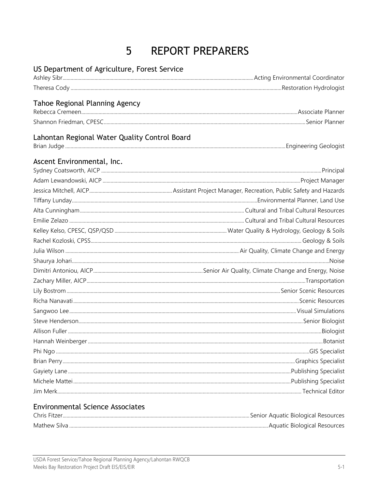## 5 REPORT PREPARERS

| US Department of Agriculture, Forest Service  |  |
|-----------------------------------------------|--|
|                                               |  |
|                                               |  |
| Tahoe Regional Planning Agency                |  |
|                                               |  |
|                                               |  |
| Lahontan Regional Water Quality Control Board |  |
|                                               |  |
| Ascent Environmental, Inc.                    |  |
|                                               |  |
|                                               |  |
|                                               |  |
|                                               |  |
|                                               |  |
|                                               |  |
|                                               |  |
|                                               |  |
|                                               |  |
|                                               |  |
|                                               |  |
|                                               |  |
|                                               |  |
|                                               |  |
|                                               |  |
|                                               |  |
|                                               |  |
|                                               |  |
|                                               |  |
|                                               |  |
|                                               |  |
|                                               |  |
|                                               |  |

## **Environmental Science Associates**

| Chris F      | Senior Aquatic Biological Resources |
|--------------|-------------------------------------|
| Mathew Silva | Aquatic Biological Resources        |